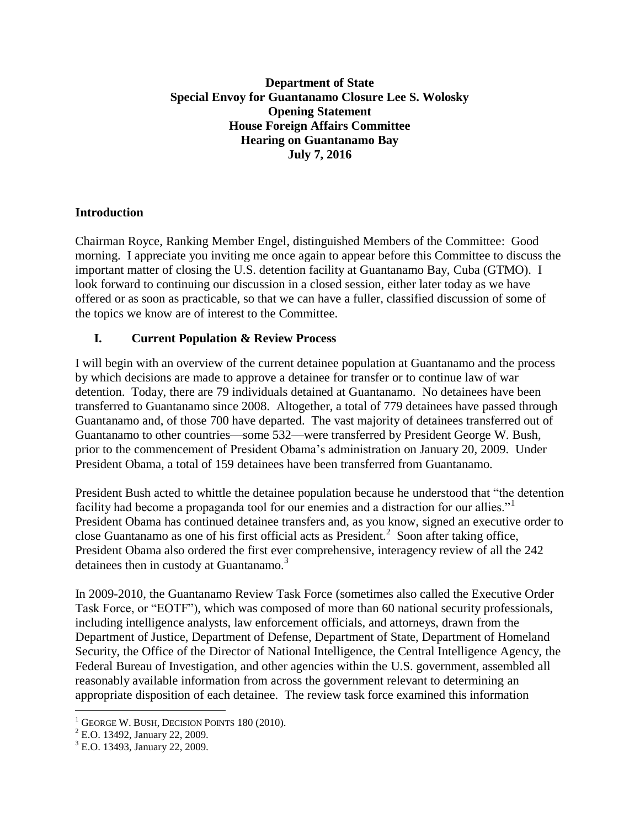### **Department of State Special Envoy for Guantanamo Closure Lee S. Wolosky Opening Statement House Foreign Affairs Committee Hearing on Guantanamo Bay July 7, 2016**

### **Introduction**

Chairman Royce, Ranking Member Engel, distinguished Members of the Committee: Good morning. I appreciate you inviting me once again to appear before this Committee to discuss the important matter of closing the U.S. detention facility at Guantanamo Bay, Cuba (GTMO). I look forward to continuing our discussion in a closed session, either later today as we have offered or as soon as practicable, so that we can have a fuller, classified discussion of some of the topics we know are of interest to the Committee.

## **I. Current Population & Review Process**

I will begin with an overview of the current detainee population at Guantanamo and the process by which decisions are made to approve a detainee for transfer or to continue law of war detention. Today, there are 79 individuals detained at Guantanamo. No detainees have been transferred to Guantanamo since 2008. Altogether, a total of 779 detainees have passed through Guantanamo and, of those 700 have departed. The vast majority of detainees transferred out of Guantanamo to other countries—some 532—were transferred by President George W. Bush, prior to the commencement of President Obama's administration on January 20, 2009. Under President Obama, a total of 159 detainees have been transferred from Guantanamo.

President Bush acted to whittle the detainee population because he understood that "the detention facility had become a propaganda tool for our enemies and a distraction for our allies." President Obama has continued detainee transfers and, as you know, signed an executive order to close Guantanamo as one of his first official acts as President. $^2$  Soon after taking office, President Obama also ordered the first ever comprehensive, interagency review of all the 242 detainees then in custody at Guantanamo.<sup>3</sup>

In 2009-2010, the Guantanamo Review Task Force (sometimes also called the Executive Order Task Force, or "EOTF"), which was composed of more than 60 national security professionals, including intelligence analysts, law enforcement officials, and attorneys, drawn from the Department of Justice, Department of Defense, Department of State, Department of Homeland Security, the Office of the Director of National Intelligence, the Central Intelligence Agency, the Federal Bureau of Investigation, and other agencies within the U.S. government, assembled all reasonably available information from across the government relevant to determining an appropriate disposition of each detainee. The review task force examined this information

 $\overline{a}$ 

 $1$  GEORGE W. BUSH, DECISION POINTS 180 (2010).

<sup>2</sup> E.O. 13492, January 22, 2009.

<sup>3</sup> E.O. 13493, January 22, 2009.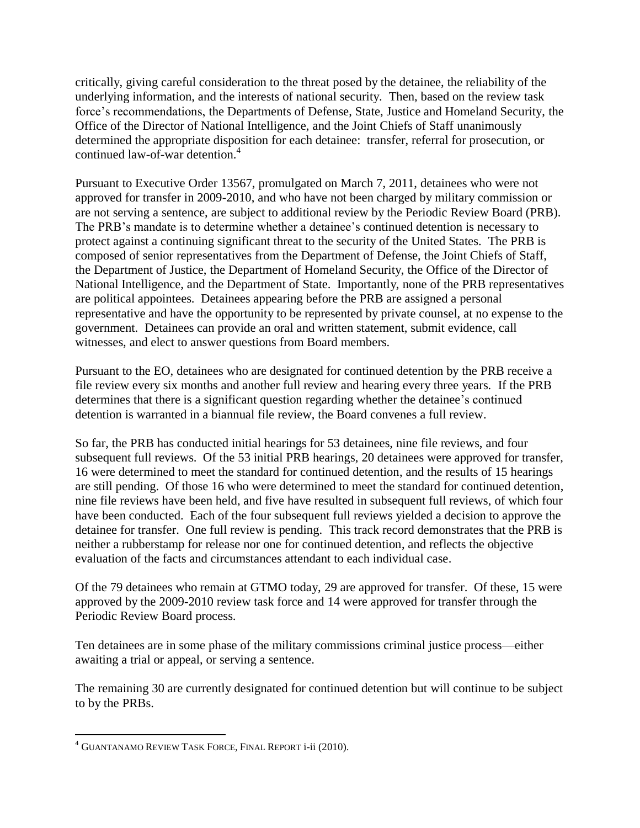critically, giving careful consideration to the threat posed by the detainee, the reliability of the underlying information, and the interests of national security. Then, based on the review task force's recommendations, the Departments of Defense, State, Justice and Homeland Security, the Office of the Director of National Intelligence, and the Joint Chiefs of Staff unanimously determined the appropriate disposition for each detainee: transfer, referral for prosecution, or continued law-of-war detention.<sup>4</sup>

Pursuant to Executive Order 13567, promulgated on March 7, 2011, detainees who were not approved for transfer in 2009-2010, and who have not been charged by military commission or are not serving a sentence, are subject to additional review by the Periodic Review Board (PRB). The PRB's mandate is to determine whether a detainee's continued detention is necessary to protect against a continuing significant threat to the security of the United States. The PRB is composed of senior representatives from the Department of Defense, the Joint Chiefs of Staff, the Department of Justice, the Department of Homeland Security, the Office of the Director of National Intelligence, and the Department of State. Importantly, none of the PRB representatives are political appointees. Detainees appearing before the PRB are assigned a personal representative and have the opportunity to be represented by private counsel, at no expense to the government. Detainees can provide an oral and written statement, submit evidence, call witnesses, and elect to answer questions from Board members.

Pursuant to the EO, detainees who are designated for continued detention by the PRB receive a file review every six months and another full review and hearing every three years. If the PRB determines that there is a significant question regarding whether the detainee's continued detention is warranted in a biannual file review, the Board convenes a full review.

So far, the PRB has conducted initial hearings for 53 detainees, nine file reviews, and four subsequent full reviews. Of the 53 initial PRB hearings, 20 detainees were approved for transfer, 16 were determined to meet the standard for continued detention, and the results of 15 hearings are still pending. Of those 16 who were determined to meet the standard for continued detention, nine file reviews have been held, and five have resulted in subsequent full reviews, of which four have been conducted. Each of the four subsequent full reviews yielded a decision to approve the detainee for transfer. One full review is pending. This track record demonstrates that the PRB is neither a rubberstamp for release nor one for continued detention, and reflects the objective evaluation of the facts and circumstances attendant to each individual case.

Of the 79 detainees who remain at GTMO today, 29 are approved for transfer. Of these, 15 were approved by the 2009-2010 review task force and 14 were approved for transfer through the Periodic Review Board process.

Ten detainees are in some phase of the military commissions criminal justice process—either awaiting a trial or appeal, or serving a sentence.

The remaining 30 are currently designated for continued detention but will continue to be subject to by the PRBs.

 $\overline{a}$ 

<sup>4</sup> GUANTANAMO REVIEW TASK FORCE, FINAL REPORT i-ii (2010).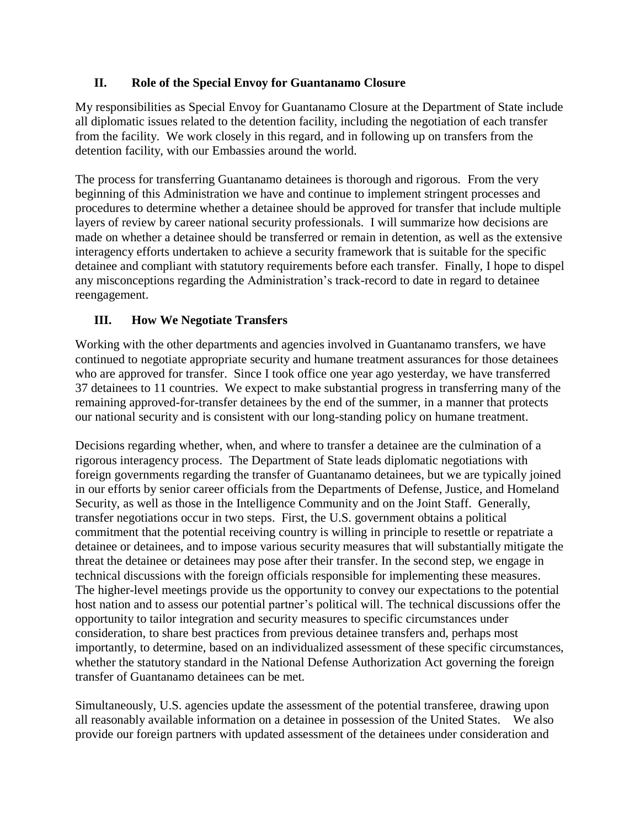## **II. Role of the Special Envoy for Guantanamo Closure**

My responsibilities as Special Envoy for Guantanamo Closure at the Department of State include all diplomatic issues related to the detention facility, including the negotiation of each transfer from the facility. We work closely in this regard, and in following up on transfers from the detention facility, with our Embassies around the world.

The process for transferring Guantanamo detainees is thorough and rigorous. From the very beginning of this Administration we have and continue to implement stringent processes and procedures to determine whether a detainee should be approved for transfer that include multiple layers of review by career national security professionals. I will summarize how decisions are made on whether a detainee should be transferred or remain in detention, as well as the extensive interagency efforts undertaken to achieve a security framework that is suitable for the specific detainee and compliant with statutory requirements before each transfer. Finally, I hope to dispel any misconceptions regarding the Administration's track-record to date in regard to detainee reengagement.

# **III. How We Negotiate Transfers**

Working with the other departments and agencies involved in Guantanamo transfers, we have continued to negotiate appropriate security and humane treatment assurances for those detainees who are approved for transfer. Since I took office one year ago yesterday, we have transferred 37 detainees to 11 countries. We expect to make substantial progress in transferring many of the remaining approved-for-transfer detainees by the end of the summer, in a manner that protects our national security and is consistent with our long-standing policy on humane treatment.

Decisions regarding whether, when, and where to transfer a detainee are the culmination of a rigorous interagency process. The Department of State leads diplomatic negotiations with foreign governments regarding the transfer of Guantanamo detainees, but we are typically joined in our efforts by senior career officials from the Departments of Defense, Justice, and Homeland Security, as well as those in the Intelligence Community and on the Joint Staff. Generally, transfer negotiations occur in two steps. First, the U.S. government obtains a political commitment that the potential receiving country is willing in principle to resettle or repatriate a detainee or detainees, and to impose various security measures that will substantially mitigate the threat the detainee or detainees may pose after their transfer. In the second step, we engage in technical discussions with the foreign officials responsible for implementing these measures. The higher-level meetings provide us the opportunity to convey our expectations to the potential host nation and to assess our potential partner's political will. The technical discussions offer the opportunity to tailor integration and security measures to specific circumstances under consideration, to share best practices from previous detainee transfers and, perhaps most importantly, to determine, based on an individualized assessment of these specific circumstances, whether the statutory standard in the National Defense Authorization Act governing the foreign transfer of Guantanamo detainees can be met.

Simultaneously, U.S. agencies update the assessment of the potential transferee, drawing upon all reasonably available information on a detainee in possession of the United States. We also provide our foreign partners with updated assessment of the detainees under consideration and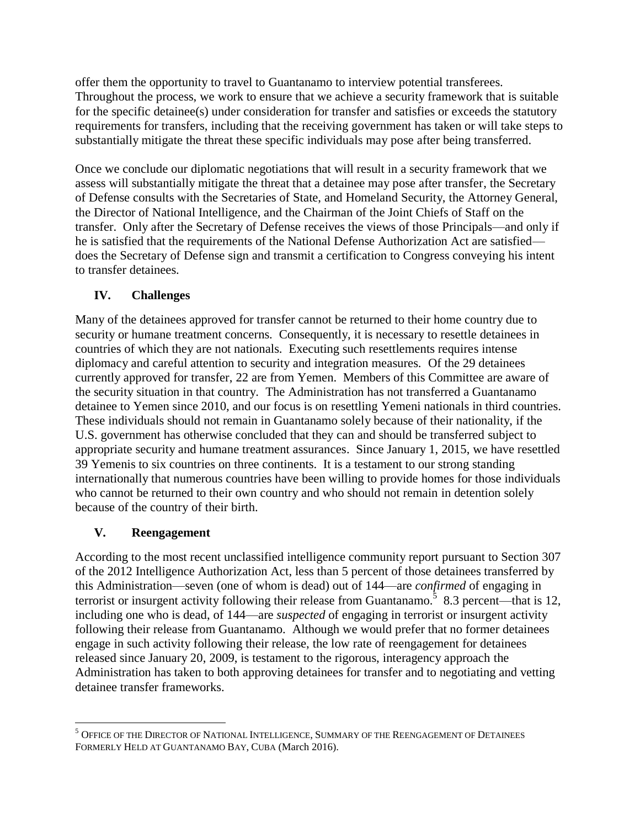offer them the opportunity to travel to Guantanamo to interview potential transferees. Throughout the process, we work to ensure that we achieve a security framework that is suitable for the specific detainee(s) under consideration for transfer and satisfies or exceeds the statutory requirements for transfers, including that the receiving government has taken or will take steps to substantially mitigate the threat these specific individuals may pose after being transferred.

Once we conclude our diplomatic negotiations that will result in a security framework that we assess will substantially mitigate the threat that a detainee may pose after transfer, the Secretary of Defense consults with the Secretaries of State, and Homeland Security, the Attorney General, the Director of National Intelligence, and the Chairman of the Joint Chiefs of Staff on the transfer. Only after the Secretary of Defense receives the views of those Principals—and only if he is satisfied that the requirements of the National Defense Authorization Act are satisfied does the Secretary of Defense sign and transmit a certification to Congress conveying his intent to transfer detainees.

# **IV. Challenges**

Many of the detainees approved for transfer cannot be returned to their home country due to security or humane treatment concerns. Consequently, it is necessary to resettle detainees in countries of which they are not nationals. Executing such resettlements requires intense diplomacy and careful attention to security and integration measures. Of the 29 detainees currently approved for transfer, 22 are from Yemen. Members of this Committee are aware of the security situation in that country. The Administration has not transferred a Guantanamo detainee to Yemen since 2010, and our focus is on resettling Yemeni nationals in third countries. These individuals should not remain in Guantanamo solely because of their nationality, if the U.S. government has otherwise concluded that they can and should be transferred subject to appropriate security and humane treatment assurances. Since January 1, 2015, we have resettled 39 Yemenis to six countries on three continents. It is a testament to our strong standing internationally that numerous countries have been willing to provide homes for those individuals who cannot be returned to their own country and who should not remain in detention solely because of the country of their birth.

# **V. Reengagement**

 $\overline{a}$ 

According to the most recent unclassified intelligence community report pursuant to Section 307 of the 2012 Intelligence Authorization Act, less than 5 percent of those detainees transferred by this Administration—seven (one of whom is dead) out of 144—are *confirmed* of engaging in terrorist or insurgent activity following their release from Guantanamo.<sup>5</sup> 8.3 percent—that is 12, including one who is dead, of 144—are *suspected* of engaging in terrorist or insurgent activity following their release from Guantanamo. Although we would prefer that no former detainees engage in such activity following their release, the low rate of reengagement for detainees released since January 20, 2009, is testament to the rigorous, interagency approach the Administration has taken to both approving detainees for transfer and to negotiating and vetting detainee transfer frameworks.

<sup>5</sup> OFFICE OF THE DIRECTOR OF NATIONAL INTELLIGENCE, SUMMARY OF THE REENGAGEMENT OF DETAINEES FORMERLY HELD AT GUANTANAMO BAY, CUBA (March 2016).